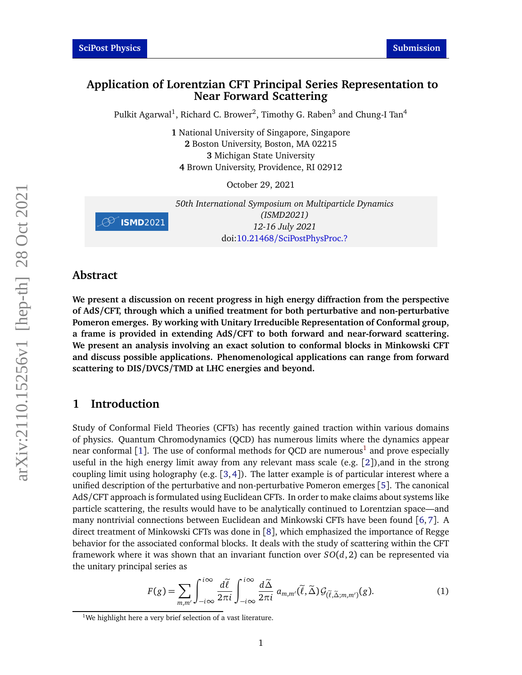### **Application of Lorentzian CFT Principal Series Representation to Near Forward Scattering**

Pulkit Agarwal $^1$ , Richard C. Brower $^2$ , Timothy G. Raben $^3$  and Chung-I Tan $^4$ 

 National University of Singapore, Singapore Boston University, Boston, MA 02215 Michigan State University Brown University, Providence, RI 02912

October 29, 2021

*50th International Symposium on Multiparticle Dynamics (ISMD2021)* **8 ISMD**2021 *12-16 July 2021* doi:10.21468/[SciPostPhysProc.?](https://doi.org/10.21468/SciPostPhysProc.?)

### **Abstract**

**We present a discussion on recent progress in high energy diffraction from the perspective of AdS/CFT, through which a unified treatment for both perturbative and non-perturbative Pomeron emerges. By working with Unitary Irreducible Representation of Conformal group, a frame is provided in extending AdS/CFT to both forward and near-forward scattering. We present an analysis involving an exact solution to conformal blocks in Minkowski CFT and discuss possible applications. Phenomenological applications can range from forward scattering to DIS/DVCS/TMD at LHC energies and beyond.**

# **1 Introduction**

Study of Conformal Field Theories (CFTs) has recently gained traction within various domains of physics. Quantum Chromodynamics (QCD) has numerous limits where the dynamics appear near conformal [[1](#page-0-0)]. The use of conformal methods for QCD are numerous<sup>1</sup> and prove especially useful in the high energy limit away from any relevant mass scale (e.g. [[2](#page-5-1)]),and in the strong coupling limit using holography (e.g.  $[3,4]$  $[3,4]$  $[3,4]$  $[3,4]$ ). The latter example is of particular interest where a unified description of the perturbative and non-perturbative Pomeron emerges [[5](#page-5-4)]. The canonical AdS/CFT approach is formulated using Euclidean CFTs. In order to make claims about systems like particle scattering, the results would have to be analytically continued to Lorentzian space—and many nontrivial connections between Euclidean and Minkowski CFTs have been found [[6,](#page-5-5) [7](#page-5-6)]. A direct treatment of Minkowski CFTs was done in [[8](#page-5-7)], which emphasized the importance of Regge behavior for the associated conformal blocks. It deals with the study of scattering within the CFT framework where it was shown that an invariant function over *SO*(*d*, 2) can be represented via the unitary principal series as

<span id="page-0-1"></span>
$$
F(g) = \sum_{m,m'} \int_{-i\infty}^{i\infty} \frac{d\tilde{\ell}}{2\pi i} \int_{-i\infty}^{i\infty} \frac{d\tilde{\Delta}}{2\pi i} a_{m,m'}(\tilde{\ell}, \tilde{\Delta}) \mathcal{G}_{(\tilde{\ell}, \tilde{\Delta};m,m')}(g).
$$
 (1)

<span id="page-0-0"></span> $1$ We highlight here a very brief selection of a vast literature.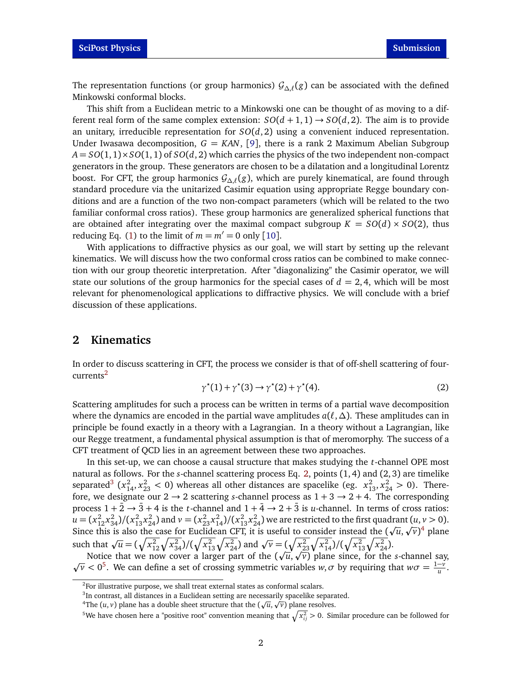The representation functions (or group harmonics)  $\mathcal{G}_{\Delta,\ell}(g)$  can be associated with the defined Minkowski conformal blocks.

This shift from a Euclidean metric to a Minkowski one can be thought of as moving to a different real form of the same complex extension:  $SO(d+1,1) \rightarrow SO(d,2)$ . The aim is to provide an unitary, irreducible representation for  $SO(d,2)$  using a convenient induced representation. Under Iwasawa decomposition,  $G = KAN$ , [[9](#page-5-8)], there is a rank 2 Maximum Abelian Subgroup  $A = SO(1, 1) \times SO(1, 1)$  of  $SO(d, 2)$  which carries the physics of the two independent non-compact generators in the group. These generators are chosen to be a dilatation and a longitudinal Lorentz boost. For CFT, the group harmonics G*∆*,*`* (*g*), which are purely kinematical, are found through standard procedure via the unitarized Casimir equation using appropriate Regge boundary conditions and are a function of the two non-compact parameters (which will be related to the two familiar conformal cross ratios). These group harmonics are generalized spherical functions that are obtained after integrating over the maximal compact subgroup  $K = SO(d) \times SO(2)$ , thus reducing Eq. [\(1\)](#page-0-1) to the limit of  $m = m' = 0$  only [[10](#page-5-9)].

With applications to diffractive physics as our goal, we will start by setting up the relevant kinematics. We will discuss how the two conformal cross ratios can be combined to make connection with our group theoretic interpretation. After "diagonalizing" the Casimir operator, we will state our solutions of the group harmonics for the special cases of  $d = 2, 4$ , which will be most relevant for phenomenological applications to diffractive physics. We will conclude with a brief discussion of these applications.

### **2 Kinematics**

<span id="page-1-1"></span>In order to discuss scattering in CFT, the process we consider is that of off-shell scattering of four-currents<sup>[2](#page-1-0)</sup>

$$
\gamma^*(1) + \gamma^*(3) \to \gamma^*(2) + \gamma^*(4). \tag{2}
$$

Scattering amplitudes for such a process can be written in terms of a partial wave decomposition where the dynamics are encoded in the partial wave amplitudes *a*(*`*,*∆*). These amplitudes can in principle be found exactly in a theory with a Lagrangian. In a theory without a Lagrangian, like our Regge treatment, a fundamental physical assumption is that of meromorphy. The success of a CFT treatment of QCD lies in an agreement between these two approaches.

In this set-up, we can choose a causal structure that makes studying the *t*-channel OPE most natural as follows. For the *s*-channel scattering process Eq. [2,](#page-1-1) points (1, 4) and (2, 3) are timelike separated<sup>[3](#page-1-2)</sup> ( $x_{14}^2$ ,  $x_{23}^2$  < 0) whereas all other distances are spacelike (eg.  $x_{13}^2$ ,  $x_{24}^2$  > 0). Therefore, we designate our  $2 \rightarrow 2$  scattering *s*-channel process as  $1 + 3 \rightarrow 2 + 4$ . The corresponding process  $1 + \overline{2} \rightarrow \overline{3} + 4$  is the *t*-channel and  $1 + \overline{4} \rightarrow 2 + \overline{3}$  is *u*-channel. In terms of cross ratios:  $u = (x_{12}^2 x_{34}^2)/(x_{13}^2 x_{24}^2)$  and  $v = (x_{23}^2 x_{14}^2)/(x_{13}^2 x_{24}^2)$  we are restricted to the first quadrant  $(u, v > 0)$ . Since this is also the case for Euclidean CFT, it is useful to consider instead the ( ur<br>. *u*,  $\frac{1}{2}$ *v*) [4](#page-1-3) plane such that  $\sqrt{u} = (\sqrt{x_{12}^2}\sqrt{x_{34}^2})/(\sqrt{x_{13}^2}\sqrt{x_{24}^2})$  and  $\sqrt{v} = (\sqrt{x_{23}^2}\sqrt{x_{14}^2})/(\sqrt{x_{13}^2}\sqrt{x_{24}^2})$ .  $=$  !  $\alpha$ 

Notice that we now cover a larger part of the ( *u*, Notice that we now cover a larger part of the  $(\sqrt{u}, \sqrt{v})$  plane since, for the *s*-channel say,  $\overline{v}$  < 0<sup>[5](#page-1-4)</sup>. We can define a set of crossing symmetric variables *w*, *σ* by requiring that  $w\sigma = \frac{1-v}{u}$  $\frac{-\nu}{u}$ .

<span id="page-1-0"></span><sup>&</sup>lt;sup>2</sup>For illustrative purpose, we shall treat external states as conformal scalars.

<span id="page-1-2"></span><sup>&</sup>lt;sup>3</sup>In contrast, all distances in a Euclidean setting are necessarily spacelike separated.

<span id="page-1-3"></span><sup>&</sup>lt;sup>4</sup>The  $(u, v)$  plane has a double sheet structure that the  $(\sqrt{u}, \sqrt{v})$  plane resolves.

<span id="page-1-4"></span><sup>&</sup>lt;sup>5</sup>We have chosen here a "positive root" convention meaning that  $\sqrt{x_{ij}^2} > 0$ . Similar procedure can be followed for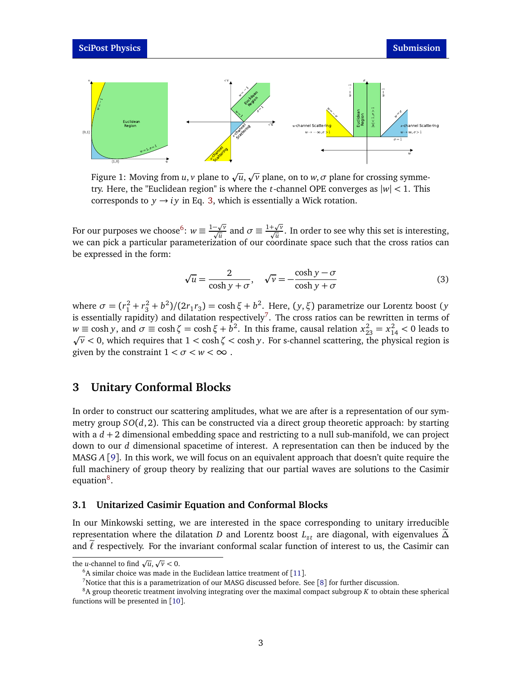<span id="page-2-4"></span>

Figure 1: Moving from  $u, v$  plane to  $\sqrt{u},$ p *v* plane, on to *w*,*σ* plane for crossing symmetry. Here, the "Euclidean region" is where the *t*-channel OPE converges as |*w*| *<* 1. This corresponds to  $y \rightarrow iy$  in Eq. [3,](#page-2-0) which is essentially a Wick rotation.

For our purposes we choose<sup>[6](#page-2-1)</sup>:  $w \equiv \frac{1-\sqrt{v}}{\sqrt{u}}$  and  $\sigma \equiv \frac{1+\sqrt{v}}{\sqrt{u}}$ . In order to see why this set is interesting, we can pick a particular parameterization of our coordinate space such that the cross ratios can be expressed in the form:

<span id="page-2-0"></span>
$$
\sqrt{u} = \frac{2}{\cosh y + \sigma}, \quad \sqrt{v} = -\frac{\cosh y - \sigma}{\cosh y + \sigma}
$$
(3)

where  $\sigma = (r_1^2 + r_3^2 + b^2)/(2r_1r_3) = \cosh \xi + b^2$ . Here,  $(y, \xi)$  parametrize our Lorentz boost (*y* is essentially rapidity) and dilatation respectively<sup>[7](#page-2-2)</sup>. The cross ratios can be rewritten in terms of *w* ≡ cosh *y*, and *σ* ≡ cosh ζ = cosh ξ + *b*<sup>2</sup>. In this frame, causal relation  $x_{23}^2 = x_{14}^2$  < 0 leads to *v <* 0, which requires that 1 *<* cosh*ζ <* cosh *y*. For s-channel scattering, the physical region is given by the constraint  $1 < \sigma < w < \infty$ .

## **3 Unitary Conformal Blocks**

u

 $(1, 0)$ 

In order to construct our scattering amplitudes, what we are after is a representation of our symmetry group *SO*(*d*, 2). This can be constructed via a direct group theoretic approach: by starting with a  $d + 2$  dimensional embedding space and restricting to a null sub-manifold, we can project down to our *d* dimensional spacetime of interest. A representation can then be induced by the MASG *A* [[9](#page-5-8)]. In this work, we will focus on an equivalent approach that doesn't quite require the full machinery of group theory by realizing that our partial waves are solutions to the Casimir equation<sup>[8](#page-2-3)</sup>.

### **3.1 Unitarized Casimir Equation and Conformal Blocks**

In our Minkowski setting, we are interested in the space corresponding to unitary irreducible representation where the dilatation *D* and Lorentz boost  $L_{zt}$  are diagonal, with eigenvalues  $\widetilde{\Delta}$ and  $\ell$  respectively. For the invariant conformal scalar function of interest to us, the Casimir can

the *u*-channel to find  $\sqrt{u}$ , p  $\overline{v}$  < 0.

<span id="page-2-1"></span> $6A$  similar choice was made in the Euclidean lattice treatment of [[11](#page-5-10)].

<span id="page-2-3"></span><span id="page-2-2"></span><sup>&</sup>lt;sup>7</sup>Notice that this is a parametrization of our MASG discussed before. See [[8](#page-5-7)] for further discussion.

<sup>8</sup>A group theoretic treatment involving integrating over the maximal compact subgroup *K* to obtain these spherical functions will be presented in [[10](#page-5-9)].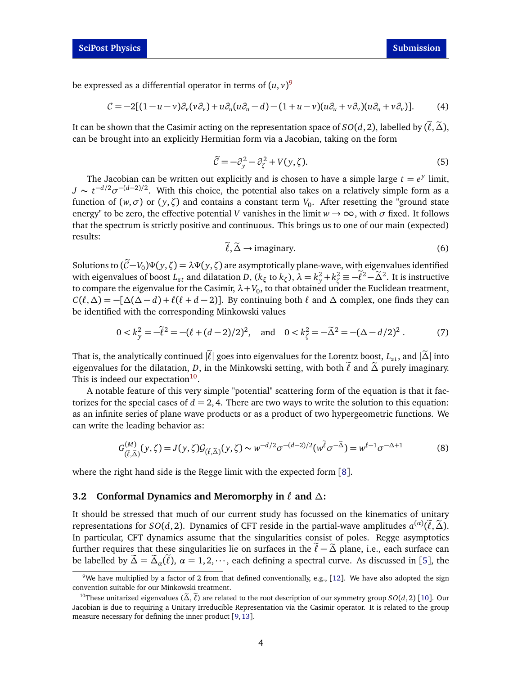be expressed as a differential operator in terms of  $(u, v)^9$  $(u, v)^9$ 

$$
C = -2[(1 - u - v)\partial_v(v\partial_v) + u\partial_u(u\partial_u - d) - (1 + u - v)(u\partial_u + v\partial_v)(u\partial_u + v\partial_v)].
$$
 (4)

It can be shown that the Casimir acting on the representation space of  $SO(d, 2)$ , labelled by  $(\ell, \tilde{\Delta})$ , can be brought into an explicitly Hermitian form via a Jacobian, taking on the form

$$
\widetilde{\mathcal{C}} = -\partial_y^2 - \partial_\zeta^2 + V(y,\zeta). \tag{5}
$$

The Jacobian can be written out explicitly and is chosen to have a simple large  $t = e^y$  limit,  $J \sim t^{-d/2} \sigma^{-(d-2)/2}$ . With this choice, the potential also takes on a relatively simple form as a function of  $(w, \sigma)$  or  $(y, \zeta)$  and contains a constant term  $V_0$ . After resetting the "ground state energy" to be zero, the effective potential *V* vanishes in the limit  $w \to \infty$ , with  $\sigma$  fixed. It follows that the spectrum is strictly positive and continuous. This brings us to one of our main (expected) results:

$$
\tilde{\ell}, \tilde{\Delta} \to \text{imaginary.} \tag{6}
$$

Solutions to  $(\widetilde{C}-V_0)\Psi(y,\zeta) = \lambda \Psi(y,\zeta)$  are asymptotically plane-wave, with eigenvalues identified with eigenvalues of boost  $L_{zt}$  and dilatation  $D$ ,  $(k_{\xi} \text{ to } k_{\zeta})$ ,  $\lambda = k_y^2 + k_{\zeta}^2 \equiv -\tilde{\ell}^2 - \tilde{\Delta}^2$ . It is instructive to compare the eigenvalue for the Casimir,  $\lambda + V_0$ , to that obtained under the Euclidean treatment,  $C(\ell, \Delta) = -[\Delta(\Delta - d) + \ell(\ell + d - 2)]$ . By continuing both  $\ell$  and  $\Delta$  complex, one finds they can be identified with the corresponding Minkowski values

$$
0 < k_y^2 = -\tilde{\ell}^2 = -(\ell + (d-2)/2)^2, \quad \text{and} \quad 0 < k_\zeta^2 = -\tilde{\Delta}^2 = -(\Delta - d/2)^2. \tag{7}
$$

That is, the analytically continued  $|\ell|$  goes into eigenvalues for the Lorentz boost,  $L_{zt}$ , and  $|\tilde{\Delta}|$  into eigenvalues for the dilatation, *D*, in the Minkowski setting, with both  $\ell$  and  $\tilde{\Delta}$  purely imaginary. This is indeed our expectation<sup>[10](#page-3-1)</sup>.

A notable feature of this very simple "potential" scattering form of the equation is that it factorizes for the special cases of  $d = 2, 4$ . There are two ways to write the solution to this equation: as an infinite series of plane wave products or as a product of two hypergeometric functions. We can write the leading behavior as:

$$
G_{(\tilde{\ell},\tilde{\Delta})}^{(M)}(y,\zeta) = J(y,\zeta) \mathcal{G}_{(\tilde{\ell},\tilde{\Delta})}(y,\zeta) \sim w^{-d/2} \sigma^{-(d-2)/2} (w^{\tilde{\ell}} \sigma^{-\tilde{\Delta}}) = w^{\ell-1} \sigma^{-\Delta+1}
$$
(8)

where the right hand side is the Regge limit with the expected form [[8](#page-5-7)].

#### **3.2 Conformal Dynamics and Meromorphy in**  $\ell$  and  $\Delta$ **:**

It should be stressed that much of our current study has focussed on the kinematics of unitary representations for *SO*(*d*, 2). Dynamics of CFT reside in the partial-wave amplitudes  $a^{(\alpha)}(\tilde{\ell}, \tilde{\Delta})$ . In particular, CFT dynamics assume that the singularities consist of poles. Regge asymptotics further requires that these singularities lie on surfaces in the  $\ell - \tilde{\Delta}$  plane, i.e., each surface can be labelled by  $\tilde{\Delta} = \tilde{\Delta}_{\alpha}(\ell)$ ,  $\alpha = 1, 2, \dots$ , each defining a spectral curve. As discussed in [[5](#page-5-4)], the

<span id="page-3-0"></span><sup>&</sup>lt;sup>9</sup>We have multiplied by a factor of 2 from that defined conventionally, e.g., [[12](#page-5-11)]. We have also adopted the sign convention suitable for our Minkowski treatment.

<span id="page-3-1"></span><sup>&</sup>lt;sup>[10](#page-5-9)</sup>These unitarized eigenvalues ( $\tilde{\Delta}$ ,  $\ell$ ) are related to the root description of our symmetry group *SO*(*d*, 2) [10]. Our Jacobian is due to requiring a Unitary Irreducible Representation via the Casimir operator. It is related to the group measure necessary for defining the inner product [[9,](#page-5-8)[13](#page-5-12)].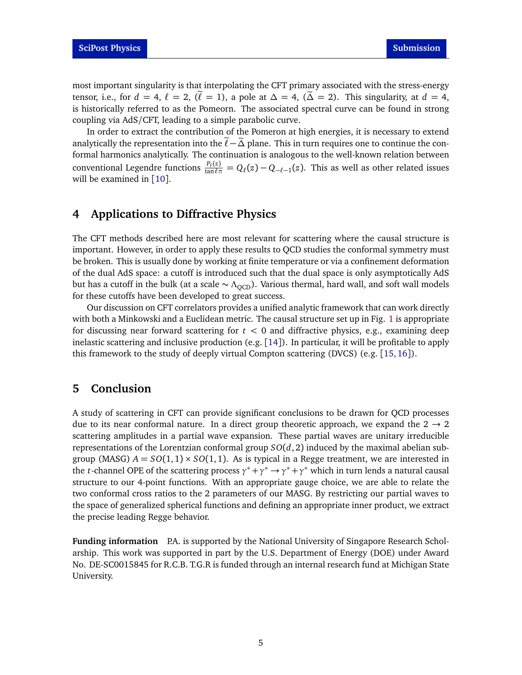most important singularity is that interpolating the CFT primary associated with the stress-energy tensor, i.e., for  $d = 4$ ,  $\ell = 2$ ,  $(\ell = 1)$ , a pole at  $\Delta = 4$ ,  $(\Delta = 2)$ . This singularity, at  $d = 4$ , is historically referred to as the Pomeorn. The associated spectral curve can be found in strong coupling via AdS/CFT, leading to a simple parabolic curve.

In order to extract the contribution of the Pomeron at high energies, it is necessary to extend analytically the representation into the  $\ell$  − $\Delta$  plane. This in turn requires one to continue the conformal harmonics analytically. The continuation is analogous to the well-known relation between conventional Legendre functions  $\frac{P_\ell(z)}{\tan \ell \pi} = Q_\ell(z) - Q_{-\ell-1}(z)$ . This as well as other related issues will be examined in [[10](#page-5-9)].

## **4 Applications to Diffractive Physics**

The CFT methods described here are most relevant for scattering where the causal structure is important. However, in order to apply these results to QCD studies the conformal symmetry must be broken. This is usually done by working at finite temperature or via a confinement deformation of the dual AdS space: a cutoff is introduced such that the dual space is only asymptotically AdS but has a cutoff in the bulk (at a scale  $\sim \Lambda_{\text{OCD}}$ ). Various thermal, hard wall, and soft wall models for these cutoffs have been developed to great success.

Our discussion on CFT correlators provides a unified analytic framework that can work directly with both a Minkowski and a Euclidean metric. The causal structure set up in Fig. [1](#page-2-4) is appropriate for discussing near forward scattering for *t <* 0 and diffractive physics, e.g., examining deep inelastic scattering and inclusive production (e.g. [[14](#page-5-13)]). In particular, it will be profitable to apply this framework to the study of deeply virtual Compton scattering (DVCS) (e.g. [[15,](#page-5-14)[16](#page-5-15)]).

## **5 Conclusion**

A study of scattering in CFT can provide significant conclusions to be drawn for QCD processes due to its near conformal nature. In a direct group theoretic approach, we expand the  $2 \rightarrow 2$ scattering amplitudes in a partial wave expansion. These partial waves are unitary irreducible representations of the Lorentzian conformal group  $SO(d, 2)$  induced by the maximal abelian subgroup (MASG)  $A = SO(1,1) \times SO(1,1)$ . As is typical in a Regge treatment, we are interested in the *t*-channel OPE of the scattering process  $\gamma^* + \gamma^* \to \gamma^* + \gamma^*$  which in turn lends a natural causal structure to our 4-point functions. With an appropriate gauge choice, we are able to relate the two conformal cross ratios to the 2 parameters of our MASG. By restricting our partial waves to the space of generalized spherical functions and defining an appropriate inner product, we extract the precise leading Regge behavior.

**Funding information** P.A. is supported by the National University of Singapore Research Scholarship. This work was supported in part by the U.S. Department of Energy (DOE) under Award No. DE-SC0015845 for R.C.B. T.G.R is funded through an internal research fund at Michigan State University.